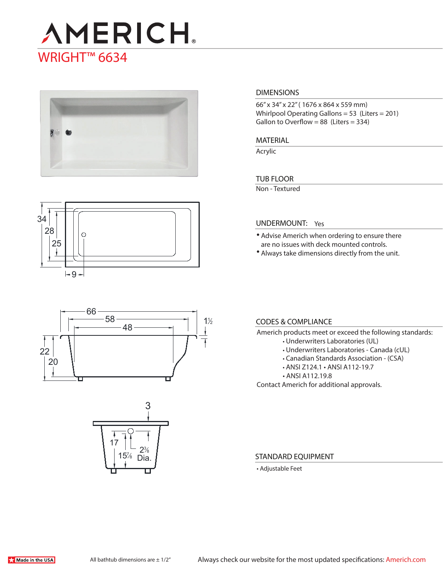# **AMERICH** WRIGHT<sup>™</sup> 6634



## 34 28  $\odot$ 25

 $-9-$ 

### 58 48 22 20  $1\frac{1}{2}$ 66



#### **DIMENSIONS**

66" x 34" x 22" ( 1676 x 864 x 559 mm) Whirlpool Operating Gallons = 53 (Liters = 201) Gallon to Overflow =  $88$  (Liters =  $334$ )

#### **MATERIAL**

Acrylic

#### **TUB FLOOR**

Non - Textured

#### **UNDERMOUNT:** Yes

- Advise Americh when ordering to ensure there are no issues with deck mounted controls.
- Always take dimensions directly from the unit.

### **CODES & COMPLIANCE**

- Americh products meet or exceed the following standards:
	- Underwriters Laboratories (UL)
	- Underwriters Laboratories Canada (cUL)
	- Canadian Standards Association (CSA)
	- ANSI Z124.1 ANSI A112-19.7
	- ANSI A112.19.8

Contact Americh for additional approvals.

#### **STANDARD EQUIPMENT**

• Adjustable Feet